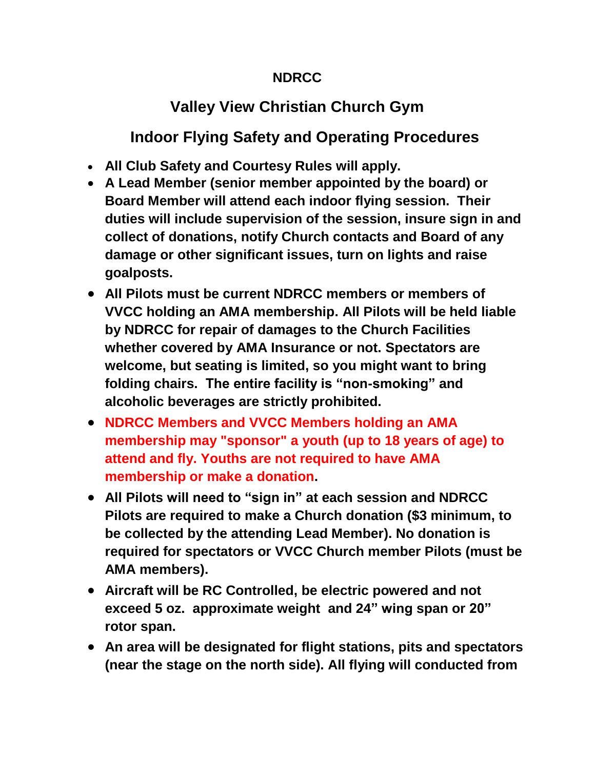## **NDRCC**

## **Valley View Christian Church Gym**

 **Indoor Flying Safety and Operating Procedures**

- **All Club Safety and Courtesy Rules will apply.**
- **A Lead Member (senior member appointed by the board) or Board Member will attend each indoor flying session. Their duties will include supervision of the session, insure sign in and collect of donations, notify Church contacts and Board of any damage or other significant issues, turn on lights and raise goalposts.**
- **All Pilots must be current NDRCC members or members of VVCC holding an AMA membership. All Pilots will be held liable by NDRCC for repair of damages to the Church Facilities whether covered by AMA Insurance or not. Spectators are welcome, but seating is limited, so you might want to bring folding chairs. The entire facility is "non-smoking" and alcoholic beverages are strictly prohibited.**
- **NDRCC Members and VVCC Members holding an AMA membership may "sponsor" a youth (up to 18 years of age) to attend and fly. Youths are not required to have AMA membership or make a donation.**
- **All Pilots will need to "sign in" at each session and NDRCC Pilots are required to make a Church donation (\$3 minimum, to be collected by the attending Lead Member). No donation is required for spectators or VVCC Church member Pilots (must be AMA members).**
- **Aircraft will be RC Controlled, be electric powered and not exceed 5 oz. approximate weight and 24" wing span or 20" rotor span.**
- **An area will be designated for flight stations, pits and spectators (near the stage on the north side). All flying will conducted from**